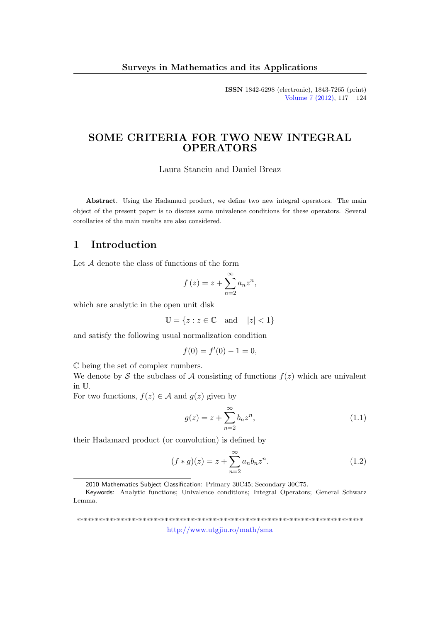ISSN 1842-6298 (electronic), 1843-7265 (print) [Volume 7 \(2012\),](http://www.utgjiu.ro/math/sma/v07/v07.html) 117 – 124

## SOME CRITERIA FOR TWO NEW INTEGRAL OPERATORS

Laura Stanciu and Daniel Breaz

Abstract. Using the Hadamard product, we define two new integral operators. The main object of the present paper is to discuss some univalence conditions for these operators. Several corollaries of the main results are also considered.

## 1 Introduction

Let A denote the class of functions of the form

$$
f(z) = z + \sum_{n=2}^{\infty} a_n z^n,
$$

which are analytic in the open unit disk

$$
\mathbb{U} = \{ z : z \in \mathbb{C} \quad \text{and} \quad |z| < 1 \}
$$

and satisfy the following usual normalization condition

$$
f(0) = f'(0) - 1 = 0,
$$

C being the set of complex numbers.

We denote by S the subclass of A consisting of functions  $f(z)$  which are univalent in U.

For two functions,  $f(z) \in \mathcal{A}$  and  $g(z)$  given by

<span id="page-0-0"></span>
$$
g(z) = z + \sum_{n=2}^{\infty} b_n z^n,
$$
\n(1.1)

their Hadamard product (or convolution) is defined by

<span id="page-0-1"></span>
$$
(f * g)(z) = z + \sum_{n=2}^{\infty} a_n b_n z^n.
$$
 (1.2)

\*\*\*\*\*\*\*\*\*\*\*\*\*\*\*\*\*\*\*\*\*\*\*\*\*\*\*\*\*\*\*\*\*\*\*\*\*\*\*\*\*\*\*\*\*\*\*\*\*\*\*\*\*\*\*\*\*\*\*\*\*\*\*\*\*\*\*\*\*\*\*\*\*\*\*\*\*\* <http://www.utgjiu.ro/math/sma>

<sup>2010</sup> Mathematics Subject Classification: Primary 30C45; Secondary 30C75.

Keywords: Analytic functions; Univalence conditions; Integral Operators; General Schwarz Lemma.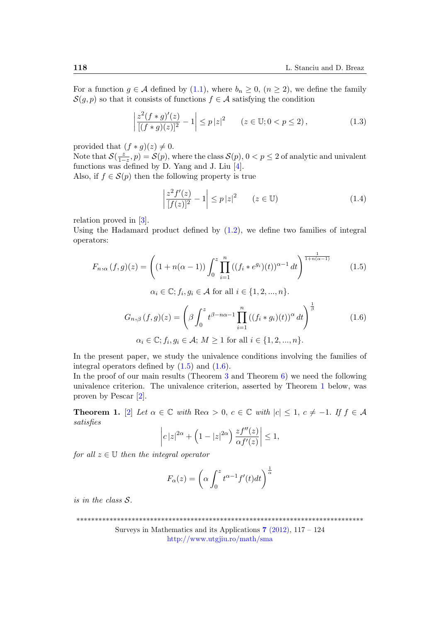For a function  $g \in \mathcal{A}$  defined by [\(1.1\)](#page-0-0), where  $b_n \geq 0$ ,  $(n \geq 2)$ , we define the family  $\mathcal{S}(g, p)$  so that it consists of functions  $f \in \mathcal{A}$  satisfying the condition

<span id="page-1-4"></span>
$$
\left|\frac{z^2(f*g)'(z)}{[(f*g)(z)]^2} - 1\right| \le p\,|z|^2 \qquad (z \in \mathbb{U}; 0 < p \le 2),\tag{1.3}
$$

provided that  $(f * g)(z) \neq 0$ .

Note that  $\mathcal{S}(\frac{z}{1-z},p) = \mathcal{S}(p)$ , where the class  $\mathcal{S}(p)$ ,  $0 < p \le 2$  of analytic and univalent functions was defined by D. Yang and J. Liu [\[4\]](#page-7-0).

Also, if  $f \in \mathcal{S}(p)$  then the following property is true

<span id="page-1-3"></span>
$$
\left|\frac{z^2 f'(z)}{[f(z)]^2} - 1\right| \le p\left|z\right|^2 \qquad (z \in \mathbb{U})\tag{1.4}
$$

relation proved in [\[3\]](#page-7-1).

Using the Hadamard product defined by  $(1.2)$ , we define two families of integral operators:

<span id="page-1-0"></span>
$$
F_{n,\alpha}(f,g)(z) = \left( (1 + n(\alpha - 1)) \int_0^z \prod_{i=1}^n ((f_i * e^{g_i})(t))^{\alpha - 1} dt \right)^{\frac{1}{1 + n(\alpha - 1)}} \qquad (1.5)
$$
  

$$
\alpha_i \in \mathbb{C}; f_i, g_i \in \mathcal{A} \text{ for all } i \in \{1, 2, ..., n\}.
$$

<span id="page-1-1"></span>
$$
G_{n,\beta}(f,g)(z) = \left(\beta \int_0^z t^{\beta - n\alpha - 1} \prod_{i=1}^n ((f_i * g_i)(t))^{\alpha} dt\right)^{\frac{1}{\beta}}
$$
(1.6)  

$$
\alpha_i \in \mathbb{C}; f_i, g_i \in \mathcal{A}; M \ge 1 \text{ for all } i \in \{1, 2, ..., n\}.
$$

In the present paper, we study the univalence conditions involving the families of integral operators defined by  $(1.5)$  and  $(1.6)$ .

In the proof of our main results (Theorem [3](#page-2-0) and Theorem [6\)](#page-4-0) we need the following univalence criterion. The univalence criterion, asserted by Theorem [1](#page-1-2) below, was proven by Pescar [\[2\]](#page-7-2).

<span id="page-1-2"></span>**Theorem 1.** [\[2\]](#page-7-2) Let  $\alpha \in \mathbb{C}$  with Re $\alpha > 0$ ,  $c \in \mathbb{C}$  with  $|c| \leq 1$ ,  $c \neq -1$ . If  $f \in \mathcal{A}$ satisfies

$$
\left|c\left|z\right|^{2\alpha}+\left(1-\left|z\right|^{2\alpha}\right)\frac{zf^{\prime\prime}(z)}{\alpha f^{\prime}(z)}\right|\leq 1,
$$

for all  $z \in \mathbb{U}$  then the integral operator

$$
F_{\alpha}(z) = \left(\alpha \int_0^z t^{\alpha - 1} f'(t) dt\right)^{\frac{1}{\alpha}}
$$

is in the class S.

\*\*\*\*\*\*\*\*\*\*\*\*\*\*\*\*\*\*\*\*\*\*\*\*\*\*\*\*\*\*\*\*\*\*\*\*\*\*\*\*\*\*\*\*\*\*\*\*\*\*\*\*\*\*\*\*\*\*\*\*\*\*\*\*\*\*\*\*\*\*\*\*\*\*\*\*\*\*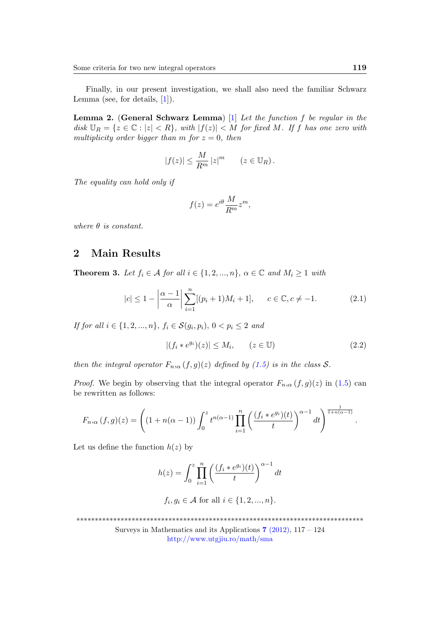Finally, in our present investigation, we shall also need the familiar Schwarz Lemma (see, for details,  $[1]$ ).

**Lemma 2.** (General Schwarz Lemma)  $[1]$  Let the function f be regular in the disk  $\mathbb{U}_R = \{z \in \mathbb{C} : |z| < R\}$ , with  $|f(z)| < M$  for fixed M. If f has one zero with multiplicity order bigger than m for  $z = 0$ , then

$$
|f(z)| \le \frac{M}{R^m} |z|^m \qquad (z \in \mathbb{U}_R).
$$

The equality can hold only if

$$
f(z) = e^{i\theta} \frac{M}{R^m} z^m,
$$

where  $\theta$  is constant.

## 2 Main Results

<span id="page-2-0"></span>**Theorem 3.** Let  $f_i \in \mathcal{A}$  for all  $i \in \{1, 2, ..., n\}$ ,  $\alpha \in \mathbb{C}$  and  $M_i \geq 1$  with

<span id="page-2-2"></span>
$$
|c| \le 1 - \left| \frac{\alpha - 1}{\alpha} \right| \sum_{i=1}^{n} [(p_i + 1)M_i + 1], \qquad c \in \mathbb{C}, c \ne -1.
$$
 (2.1)

If for all  $i \in \{1, 2, ..., n\}$ ,  $f_i \in \mathcal{S}(g_i, p_i)$ ,  $0 < p_i \le 2$  and

<span id="page-2-1"></span>
$$
|(f_i * e^{g_i})(z)| \le M_i, \qquad (z \in \mathbb{U})
$$
\n
$$
(2.2)
$$

then the integral operator  $F_{n,\alpha}(f,g)(z)$  defined by [\(1.5\)](#page-1-0) is in the class S.

*Proof.* We begin by observing that the integral operator  $F_{n,\alpha}(f,g)(z)$  in [\(1.5\)](#page-1-0) can be rewritten as follows:

$$
F_{n,\alpha}(f,g)(z) = \left( (1 + n(\alpha - 1)) \int_0^z t^{n(\alpha - 1)} \prod_{i=1}^n \left( \frac{(f_i * e^{g_i})(t)}{t} \right)^{\alpha - 1} dt \right)^{\frac{1}{1 + n(\alpha - 1)}}.
$$

Let us define the function  $h(z)$  by

$$
h(z) = \int_0^z \prod_{i=1}^n \left( \frac{(f_i * e^{g_i})(t)}{t} \right)^{\alpha - 1} dt
$$

$$
f_i, g_i \in \mathcal{A}
$$
 for all  $i \in \{1, 2, ..., n\}.$ 

\*\*\*\*\*\*\*\*\*\*\*\*\*\*\*\*\*\*\*\*\*\*\*\*\*\*\*\*\*\*\*\*\*\*\*\*\*\*\*\*\*\*\*\*\*\*\*\*\*\*\*\*\*\*\*\*\*\*\*\*\*\*\*\*\*\*\*\*\*\*\*\*\*\*\*\*\*\*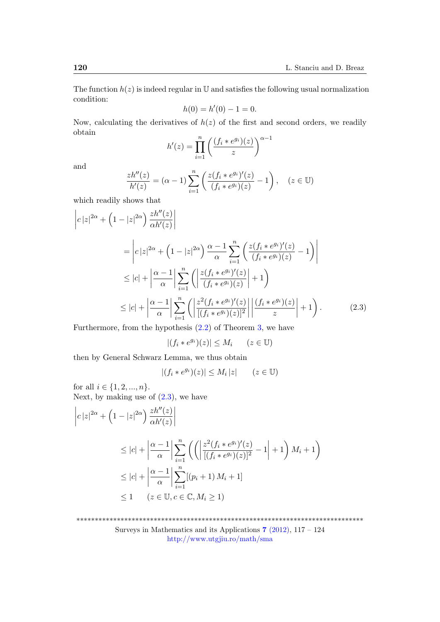The function  $h(z)$  is indeed regular in U and satisfies the following usual normalization condition:

$$
h(0) = h'(0) - 1 = 0.
$$

Now, calculating the derivatives of  $h(z)$  of the first and second orders, we readily obtain

$$
h'(z) = \prod_{i=1}^{n} \left( \frac{(f_i * e^{g_i})(z)}{z} \right)^{\alpha - 1}
$$

and

$$
\frac{zh''(z)}{h'(z)} = (\alpha - 1) \sum_{i=1}^{n} \left( \frac{z(f_i * e^{g_i})'(z)}{(f_i * e^{g_i})(z)} - 1 \right), \quad (z \in \mathbb{U})
$$

which readily shows that

$$
\begin{split}\n\left|c\left|z\right|^{2\alpha} + \left(1 - \left|z\right|^{2\alpha}\right) \frac{zh''(z)}{\alpha h'(z)}\right| \\
&= \left|c\left|z\right|^{2\alpha} + \left(1 - \left|z\right|^{2\alpha}\right) \frac{\alpha - 1}{\alpha} \sum_{i=1}^{n} \left(\frac{z(f_i * e^{g_i})'(z)}{(f_i * e^{g_i})(z)} - 1\right)\right| \\
&\leq |c| + \left|\frac{\alpha - 1}{\alpha}\right| \sum_{i=1}^{n} \left(\left|\frac{z(f_i * e^{g_i})'(z)}{(f_i * e^{g_i})(z)}\right| + 1\right) \\
&\leq |c| + \left|\frac{\alpha - 1}{\alpha}\right| \sum_{i=1}^{n} \left(\left|\frac{z^2(f_i * e^{g_i})'(z)}{[(f_i * e^{g_i})(z)]^2}\right| \left|\frac{(f_i * e^{g_i})(z)}{z}\right| + 1\right).\n\end{split} \tag{2.3}
$$

<span id="page-3-0"></span>Furthermore, from the hypothesis [\(2.2\)](#page-2-1) of Theorem [3,](#page-2-0) we have

$$
|(f_i * e^{g_i})(z)| \le M_i \qquad (z \in \mathbb{U})
$$

then by General Schwarz Lemma, we thus obtain

$$
|(f_i * e^{g_i})(z)| \le M_i |z| \qquad (z \in \mathbb{U})
$$

for all  $i \in \{1, 2, ..., n\}$ . Next, by making use of  $(2.3)$ , we have

$$
\begin{aligned}\n\left|c\left|z\right|^{2\alpha} + \left(1 - \left|z\right|^{2\alpha}\right) \frac{zh''(z)}{\alpha h'(z)}\right| \\
&\leq |c| + \left|\frac{\alpha - 1}{\alpha}\right| \sum_{i=1}^{n} \left(\left(\left|\frac{z^2(f_i * e^{g_i})'(z)}{[(f_i * e^{g_i})(z)]^2} - 1\right| + 1\right) M_i + 1\right) \\
&\leq |c| + \left|\frac{\alpha - 1}{\alpha}\right| \sum_{i=1}^{n} [(p_i + 1) M_i + 1] \\
&\leq 1 \quad (z \in \mathbb{U}, c \in \mathbb{C}, M_i \geq 1)\n\end{aligned}
$$

\*\*\*\*\*\*\*\*\*\*\*\*\*\*\*\*\*\*\*\*\*\*\*\*\*\*\*\*\*\*\*\*\*\*\*\*\*\*\*\*\*\*\*\*\*\*\*\*\*\*\*\*\*\*\*\*\*\*\*\*\*\*\*\*\*\*\*\*\*\*\*\*\*\*\*\*\*\*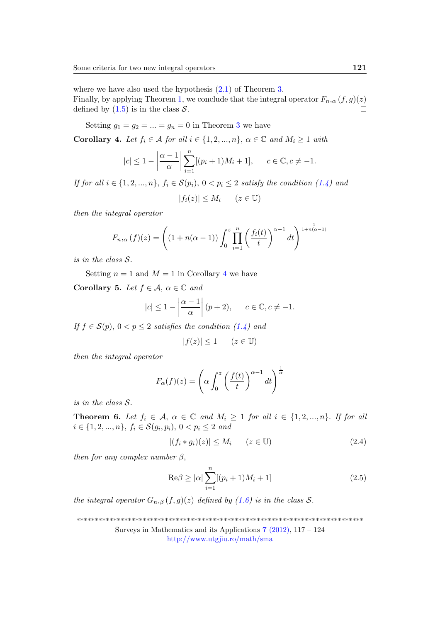where we have also used the hypothesis [\(2.1\)](#page-2-2) of Theorem [3.](#page-2-0) Finally, by applying Theorem [1,](#page-1-2) we conclude that the integral operator  $F_{n,\alpha}(f,g)(z)$ 

defined by  $(1.5)$  is in the class  $S$ .

Setting  $q_1 = q_2 = ... = q_n = 0$  in Theorem [3](#page-2-0) we have

<span id="page-4-1"></span>Corollary 4. Let  $f_i \in \mathcal{A}$  for all  $i \in \{1, 2, ..., n\}$ ,  $\alpha \in \mathbb{C}$  and  $M_i \geq 1$  with

$$
|c| \le 1 - \left| \frac{\alpha - 1}{\alpha} \right| \sum_{i=1}^{n} [(p_i + 1)M_i + 1], \quad c \in \mathbb{C}, c \ne -1.
$$

If for all  $i \in \{1, 2, ..., n\}, f_i \in \mathcal{S}(p_i), 0 < p_i \leq 2$  satisfy the condition  $(1.4)$  and

 $|f_i(z)| \leq M_i \quad (z \in \mathbb{U})$ 

then the integral operator

$$
F_{n,\alpha}(f)(z) = \left( (1 + n(\alpha - 1)) \int_0^z \prod_{i=1}^n \left( \frac{f_i(t)}{t} \right)^{\alpha - 1} dt \right)^{\frac{1}{1 + n(\alpha - 1)}}
$$

is in the class S.

Setting  $n = 1$  and  $M = 1$  in Corollary [4](#page-4-1) we have

Corollary 5. Let  $f \in \mathcal{A}$ ,  $\alpha \in \mathbb{C}$  and

$$
|c| \le 1 - \left| \frac{\alpha - 1}{\alpha} \right| (p + 2), \quad c \in \mathbb{C}, c \ne -1.
$$

If  $f \in \mathcal{S}(p)$ ,  $0 < p \leq 2$  satisfies the condition  $(1.4)$  and

$$
|f(z)| \le 1 \qquad (z \in \mathbb{U})
$$

then the integral operator

$$
F_{\alpha}(f)(z) = \left(\alpha \int_0^z \left(\frac{f(t)}{t}\right)^{\alpha-1} dt\right)^{\frac{1}{\alpha}}
$$

is in the class S.

<span id="page-4-0"></span>**Theorem 6.** Let  $f_i \in \mathcal{A}, \alpha \in \mathbb{C}$  and  $M_i \geq 1$  for all  $i \in \{1, 2, ..., n\}$ . If for all  $i \in \{1, 2, ..., n\},\ f_i \in \mathcal{S}(g_i, p_i),\ 0 < p_i \leq 2\$ and

$$
|(f_i * g_i)(z)| \le M_i \qquad (z \in \mathbb{U}) \tag{2.4}
$$

then for any complex number  $\beta$ ,

<span id="page-4-2"></span>
$$
\text{Re}\beta \ge |\alpha| \sum_{i=1}^{n} [(p_i + 1)M_i + 1]
$$
 (2.5)

the integral operator  $G_{n,\beta}(f,g)(z)$  defined by [\(1.6\)](#page-1-1) is in the class S.

\*\*\*\*\*\*\*\*\*\*\*\*\*\*\*\*\*\*\*\*\*\*\*\*\*\*\*\*\*\*\*\*\*\*\*\*\*\*\*\*\*\*\*\*\*\*\*\*\*\*\*\*\*\*\*\*\*\*\*\*\*\*\*\*\*\*\*\*\*\*\*\*\*\*\*\*\*\*

Surveys in Mathematics and its Applications  $7$  [\(2012\),](http://www.utgjiu.ro/math/sma/v07/v07.html) 117 – 124

<http://www.utgjiu.ro/math/sma>

 $\Box$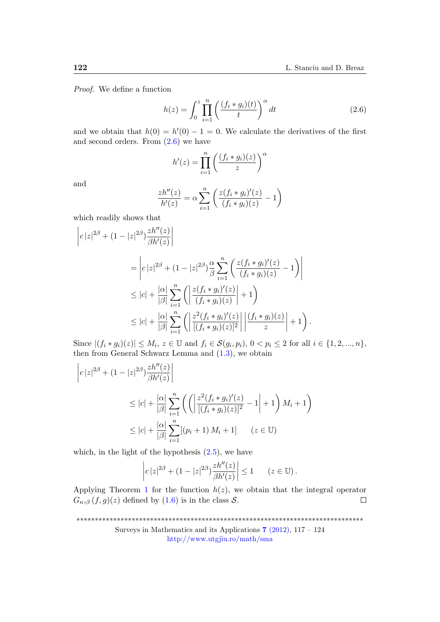Proof. We define a function

<span id="page-5-0"></span>
$$
h(z) = \int_0^z \prod_{i=1}^n \left(\frac{(f_i * g_i)(t)}{t}\right)^\alpha dt
$$
 (2.6)

and we obtain that  $h(0) = h'(0) - 1 = 0$ . We calculate the derivatives of the first and second orders. From  $(2.6)$  we have

$$
h'(z) = \prod_{i=1}^{n} \left( \frac{(f_i * g_i)(z)}{z} \right)^{\alpha}
$$

and

$$
\frac{zh''(z)}{h'(z)} = \alpha \sum_{i=1}^{n} \left( \frac{z(f_i * g_i)'(z)}{(f_i * g_i)(z)} - 1 \right)
$$

which readily shows that

$$
\begin{split} \left| c |z|^{2\beta} + (1 - |z|^{2\beta}) \frac{zh''(z)}{\beta h'(z)} \right| \\ &= \left| c |z|^{2\beta} + (1 - |z|^{2\beta}) \frac{\alpha}{\beta} \sum_{i=1}^{n} \left( \frac{z(f_i * g_i)'(z)}{(f_i * g_i)(z)} - 1 \right) \right| \\ &\leq |c| + \frac{|\alpha|}{|\beta|} \sum_{i=1}^{n} \left( \left| \frac{z(f_i * g_i)'(z)}{(f_i * g_i)(z)} \right| + 1 \right) \\ &\leq |c| + \frac{|\alpha|}{|\beta|} \sum_{i=1}^{n} \left( \left| \frac{z^2(f_i * g_i)'(z)}{[(f_i * g_i)(z)]^2} \right| \left| \frac{(f_i * g_i)(z)}{z} \right| + 1 \right). \end{split}
$$

Since  $|(f_i * g_i)(z)| \leq M_i, z \in \mathbb{U}$  and  $f_i \in \mathcal{S}(g_i, p_i), 0 < p_i \leq 2$  for all  $i \in \{1, 2, ..., n\},$ then from General Schwarz Lemma and [\(1.3\)](#page-1-4), we obtain

$$
\begin{aligned} \left| c \, |z|^{2\beta} + (1 - |z|^{2\beta}) \frac{zh''(z)}{\beta h'(z)} \right| \\ &\leq |c| + \frac{|\alpha|}{|\beta|} \sum_{i=1}^n \left( \left( \left| \frac{z^2 (f_i * g_i)'(z)}{[(f_i * g_i)(z)]^2} - 1 \right| + 1 \right) M_i + 1 \right) \\ &\leq |c| + \frac{|\alpha|}{|\beta|} \sum_{i=1}^n [(p_i + 1) M_i + 1] \qquad (z \in \mathbb{U}) \end{aligned}
$$

which, in the light of the hypothesis  $(2.5)$ , we have

$$
\left|c\,|z|^{2\beta}+(1-|z|^{2\beta})\frac{zh''(z)}{\beta h'(z)}\right|\leq 1\qquad (z\in\mathbb{U})\,.
$$

Applying Theorem [1](#page-1-2) for the function  $h(z)$ , we obtain that the integral operator  $G_{n,\beta}(f,g)(z)$  defined by  $(1.6)$  is in the class  $S$ .  $\Box$ 

\*\*\*\*\*\*\*\*\*\*\*\*\*\*\*\*\*\*\*\*\*\*\*\*\*\*\*\*\*\*\*\*\*\*\*\*\*\*\*\*\*\*\*\*\*\*\*\*\*\*\*\*\*\*\*\*\*\*\*\*\*\*\*\*\*\*\*\*\*\*\*\*\*\*\*\*\*\*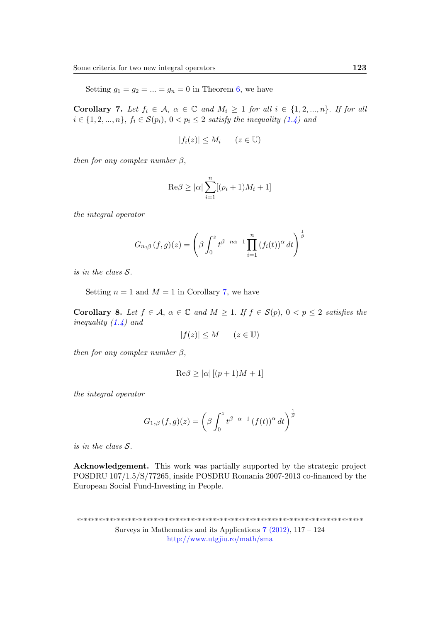Setting  $g_1 = g_2 = ... = g_n = 0$  in Theorem [6,](#page-4-0) we have

<span id="page-6-0"></span>Corollary 7. Let  $f_i \in \mathcal{A}, \alpha \in \mathbb{C}$  and  $M_i \geq 1$  for all  $i \in \{1, 2, ..., n\}$ . If for all  $i \in \{1, 2, ..., n\}, f_i \in \mathcal{S}(p_i), 0 < p_i \leq 2$  satisfy the inequality  $(1.4)$  and

$$
|f_i(z)| \le M_i \qquad (z \in \mathbb{U})
$$

then for any complex number  $\beta$ ,

$$
\operatorname{Re}\beta \ge |\alpha| \sum_{i=1}^n [(p_i + 1)M_i + 1]
$$

the integral operator

$$
G_{n,\beta}(f,g)(z) = \left(\beta \int_0^z t^{\beta - n\alpha - 1} \prod_{i=1}^n (f_i(t))^\alpha dt\right)^{\frac{1}{\beta}}
$$

is in the class S.

Setting  $n = 1$  and  $M = 1$  in Corollary [7,](#page-6-0) we have

Corollary 8. Let  $f \in \mathcal{A}$ ,  $\alpha \in \mathbb{C}$  and  $M \geq 1$ . If  $f \in \mathcal{S}(p)$ ,  $0 < p \leq 2$  satisfies the inequality [\(1.4\)](#page-1-3) and

$$
|f(z)| \le M \qquad (z \in \mathbb{U})
$$

then for any complex number  $\beta$ ,

$$
\text{Re}\beta \ge |\alpha| \left[ (p+1)M + 1 \right]
$$

the integral operator

$$
G_{1,\beta}(f,g)(z) = \left(\beta \int_0^z t^{\beta-\alpha-1} \left(f(t)\right)^{\alpha} dt\right)^{\frac{1}{\beta}}
$$

is in the class S.

Acknowledgement. This work was partially supported by the strategic project POSDRU 107/1.5/S/77265, inside POSDRU Romania 2007-2013 co-financed by the European Social Fund-Investing in People.

\*\*\*\*\*\*\*\*\*\*\*\*\*\*\*\*\*\*\*\*\*\*\*\*\*\*\*\*\*\*\*\*\*\*\*\*\*\*\*\*\*\*\*\*\*\*\*\*\*\*\*\*\*\*\*\*\*\*\*\*\*\*\*\*\*\*\*\*\*\*\*\*\*\*\*\*\*\* Surveys in Mathematics and its Applications  $7$  [\(2012\),](http://www.utgjiu.ro/math/sma/v07/v07.html) 117 – 124 <http://www.utgjiu.ro/math/sma>